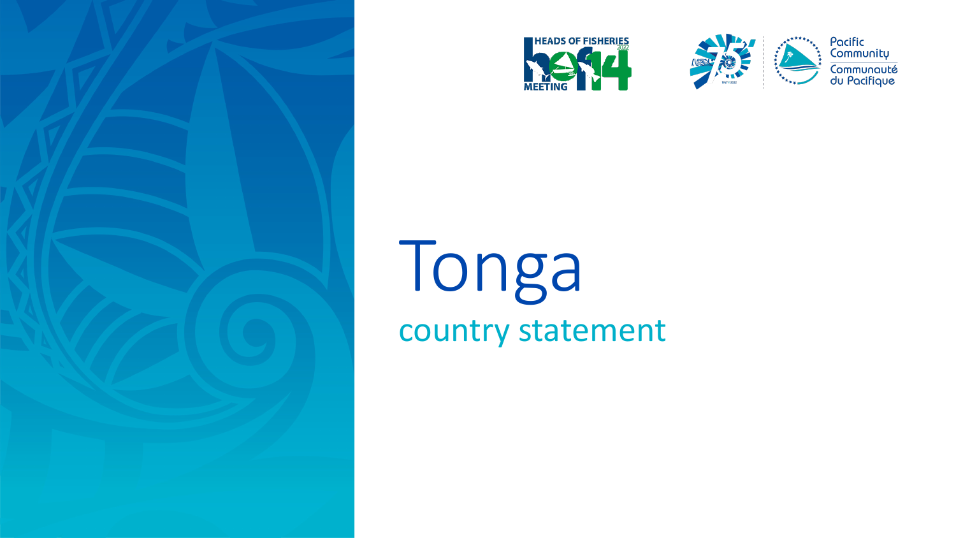





Pacific<br>Community Communauté<br>du Pacifique

## Tonga country statement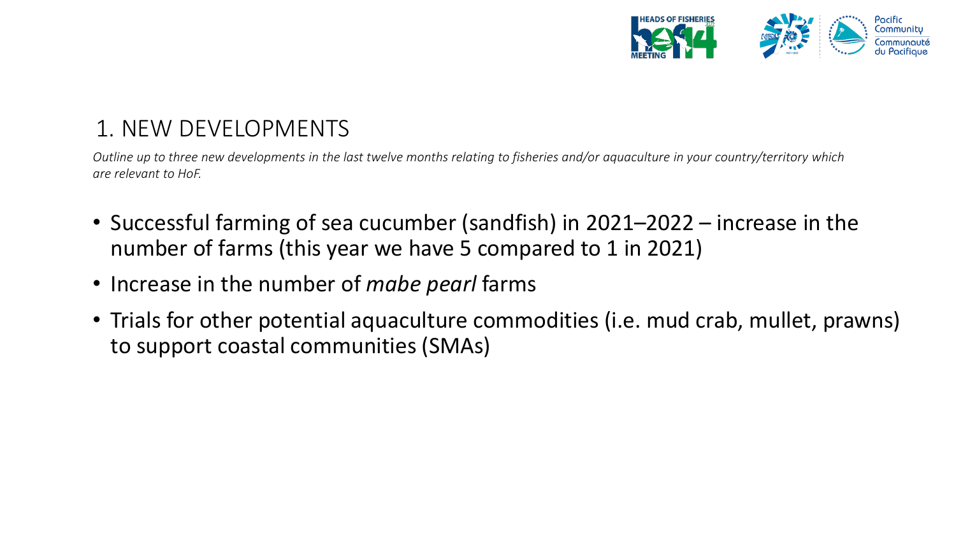

## 1. NEW DEVELOPMENTS

*Outline up to three new developments in the last twelve months relating to fisheries and/or aquaculture in your country/territory which are relevant to HoF.* 

- Successful farming of sea cucumber (sandfish) in 2021–2022 increase in the number of farms (this year we have 5 compared to 1 in 2021)
- Increase in the number of *mabe pearl* farms
- Trials for other potential aquaculture commodities (i.e. mud crab, mullet, prawns) to support coastal communities (SMAs)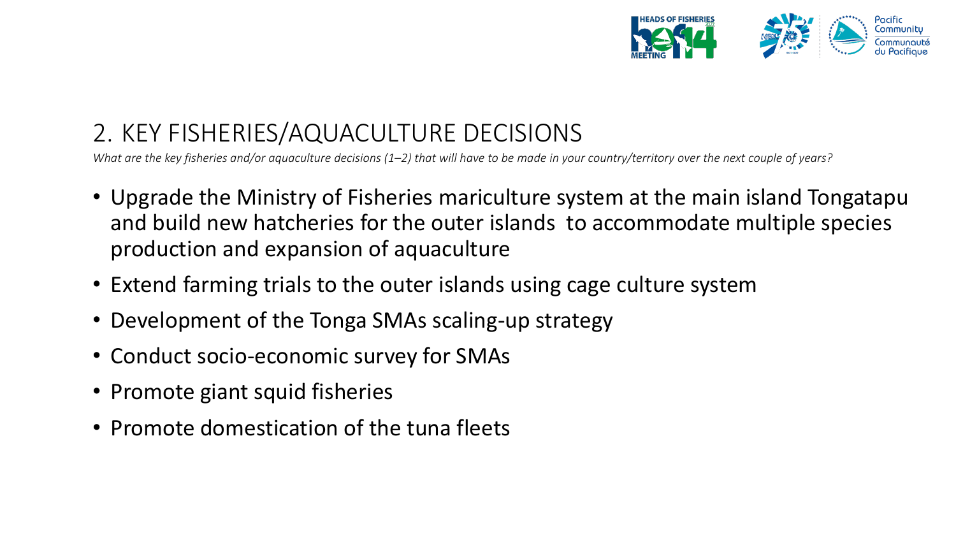

## 2. KEY FISHERIES/AQUACULTURE DECISIONS

*What are the key fisheries and/or aquaculture decisions (1–2) that will have to be made in your country/territory over the next couple of years?*

- Upgrade the Ministry of Fisheries mariculture system at the main island Tongatapu and build new hatcheries for the outer islands to accommodate multiple species production and expansion of aquaculture
- Extend farming trials to the outer islands using cage culture system
- Development of the Tonga SMAs scaling-up strategy
- Conduct socio-economic survey for SMAs
- Promote giant squid fisheries
- Promote domestication of the tuna fleets